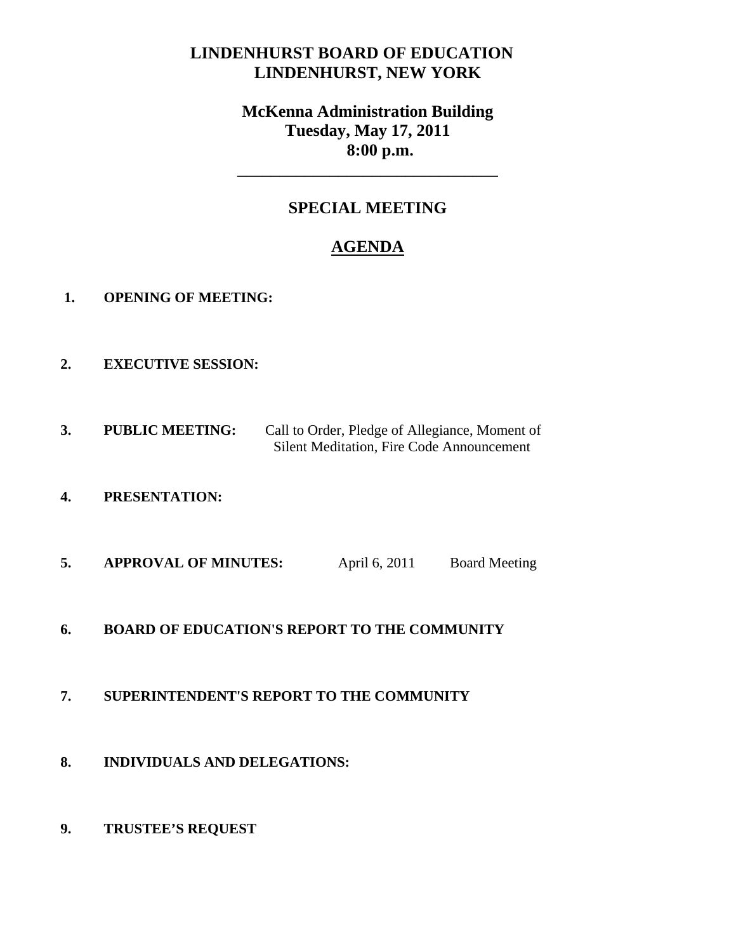# **LINDENHURST BOARD OF EDUCATION LINDENHURST, NEW YORK**

# **McKenna Administration Building Tuesday, May 17, 2011 8:00 p.m.**

# **SPECIAL MEETING**

**\_\_\_\_\_\_\_\_\_\_\_\_\_\_\_\_\_\_\_\_\_\_\_\_\_\_\_\_\_\_\_** 

# **AGENDA**

- **1. OPENING OF MEETING:**
- **2. EXECUTIVE SESSION:**
- **3. PUBLIC MEETING:** Call to Order, Pledge of Allegiance, Moment of Silent Meditation, Fire Code Announcement
- **4. PRESENTATION:**
- **5. APPROVAL OF MINUTES:** April 6, 2011 Board Meeting
- **6. BOARD OF EDUCATION'S REPORT TO THE COMMUNITY**

### **7. SUPERINTENDENT'S REPORT TO THE COMMUNITY**

- **8. INDIVIDUALS AND DELEGATIONS:**
- **9. TRUSTEE'S REQUEST**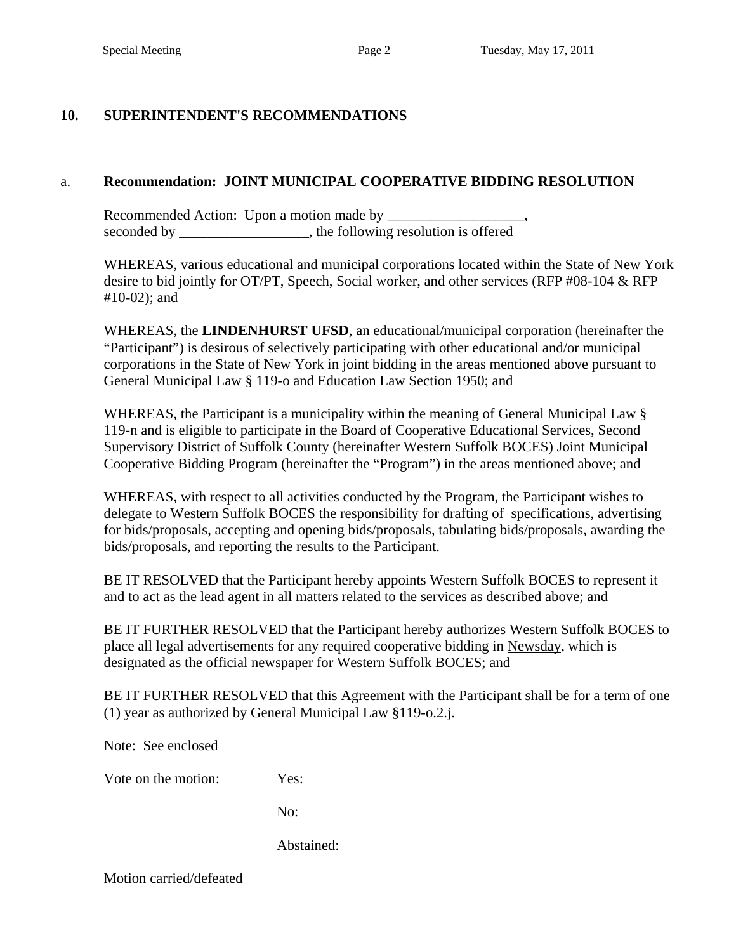## **10. SUPERINTENDENT'S RECOMMENDATIONS**

### a. **Recommendation: JOINT MUNICIPAL COOPERATIVE BIDDING RESOLUTION**

Recommended Action: Upon a motion made by \_\_\_\_\_\_\_\_\_\_\_\_\_\_\_\_\_\_\_, seconded by \_\_\_\_\_\_\_\_\_\_\_\_\_\_\_, the following resolution is offered

WHEREAS, various educational and municipal corporations located within the State of New York desire to bid jointly for OT/PT, Speech, Social worker, and other services (RFP #08-104 & RFP #10-02); and

WHEREAS, the **LINDENHURST UFSD**, an educational/municipal corporation (hereinafter the "Participant") is desirous of selectively participating with other educational and/or municipal corporations in the State of New York in joint bidding in the areas mentioned above pursuant to General Municipal Law § 119-o and Education Law Section 1950; and

WHEREAS, the Participant is a municipality within the meaning of General Municipal Law § 119-n and is eligible to participate in the Board of Cooperative Educational Services, Second Supervisory District of Suffolk County (hereinafter Western Suffolk BOCES) Joint Municipal Cooperative Bidding Program (hereinafter the "Program") in the areas mentioned above; and

WHEREAS, with respect to all activities conducted by the Program, the Participant wishes to delegate to Western Suffolk BOCES the responsibility for drafting of specifications, advertising for bids/proposals, accepting and opening bids/proposals, tabulating bids/proposals, awarding the bids/proposals, and reporting the results to the Participant.

BE IT RESOLVED that the Participant hereby appoints Western Suffolk BOCES to represent it and to act as the lead agent in all matters related to the services as described above; and

BE IT FURTHER RESOLVED that the Participant hereby authorizes Western Suffolk BOCES to place all legal advertisements for any required cooperative bidding in Newsday, which is designated as the official newspaper for Western Suffolk BOCES; and

BE IT FURTHER RESOLVED that this Agreement with the Participant shall be for a term of one (1) year as authorized by General Municipal Law §119-o.2.j.

Note: See enclosed

Vote on the motion: Yes:

No:

Abstained:

Motion carried/defeated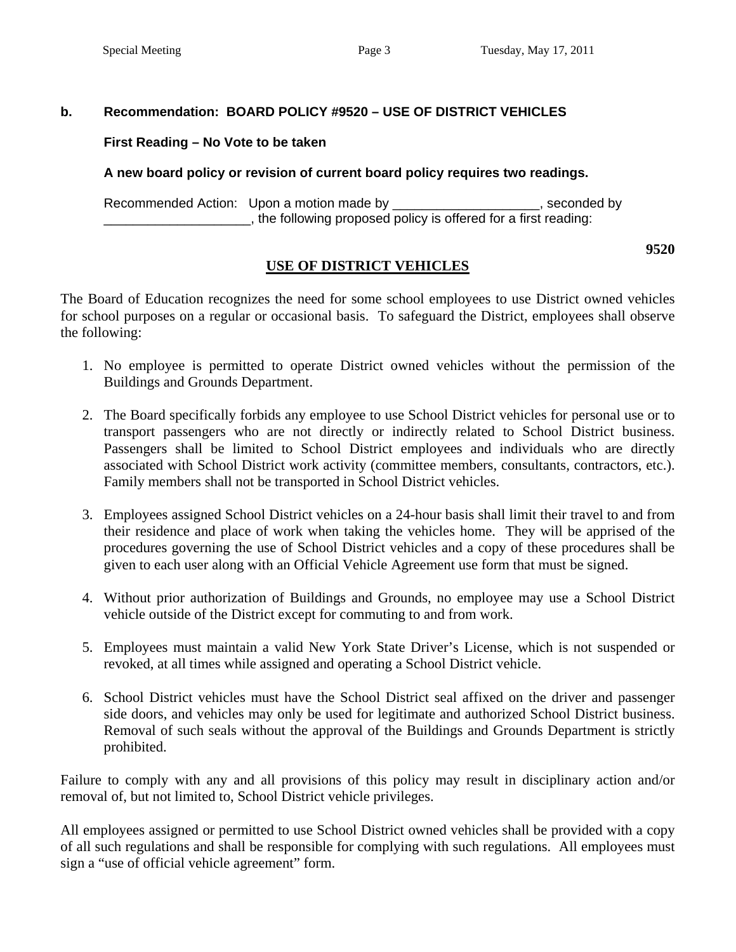### **b. Recommendation: BOARD POLICY #9520 – USE OF DISTRICT VEHICLES**

#### **First Reading – No Vote to be taken**

#### **A new board policy or revision of current board policy requires two readings.**

Recommended Action: Upon a motion made by \_\_\_\_\_\_\_\_\_\_\_\_\_\_\_\_\_\_\_\_\_, seconded by \_\_\_\_\_\_\_\_\_\_\_\_\_\_\_\_\_\_\_\_, the following proposed policy is offered for a first reading:

## **USE OF DISTRICT VEHICLES**

The Board of Education recognizes the need for some school employees to use District owned vehicles for school purposes on a regular or occasional basis. To safeguard the District, employees shall observe the following:

- 1. No employee is permitted to operate District owned vehicles without the permission of the Buildings and Grounds Department.
- 2. The Board specifically forbids any employee to use School District vehicles for personal use or to transport passengers who are not directly or indirectly related to School District business. Passengers shall be limited to School District employees and individuals who are directly associated with School District work activity (committee members, consultants, contractors, etc.). Family members shall not be transported in School District vehicles.
- 3. Employees assigned School District vehicles on a 24-hour basis shall limit their travel to and from their residence and place of work when taking the vehicles home. They will be apprised of the procedures governing the use of School District vehicles and a copy of these procedures shall be given to each user along with an Official Vehicle Agreement use form that must be signed.
- 4. Without prior authorization of Buildings and Grounds, no employee may use a School District vehicle outside of the District except for commuting to and from work.
- 5. Employees must maintain a valid New York State Driver's License, which is not suspended or revoked, at all times while assigned and operating a School District vehicle.
- 6. School District vehicles must have the School District seal affixed on the driver and passenger side doors, and vehicles may only be used for legitimate and authorized School District business. Removal of such seals without the approval of the Buildings and Grounds Department is strictly prohibited.

Failure to comply with any and all provisions of this policy may result in disciplinary action and/or removal of, but not limited to, School District vehicle privileges.

All employees assigned or permitted to use School District owned vehicles shall be provided with a copy of all such regulations and shall be responsible for complying with such regulations. All employees must sign a "use of official vehicle agreement" form.

**9520**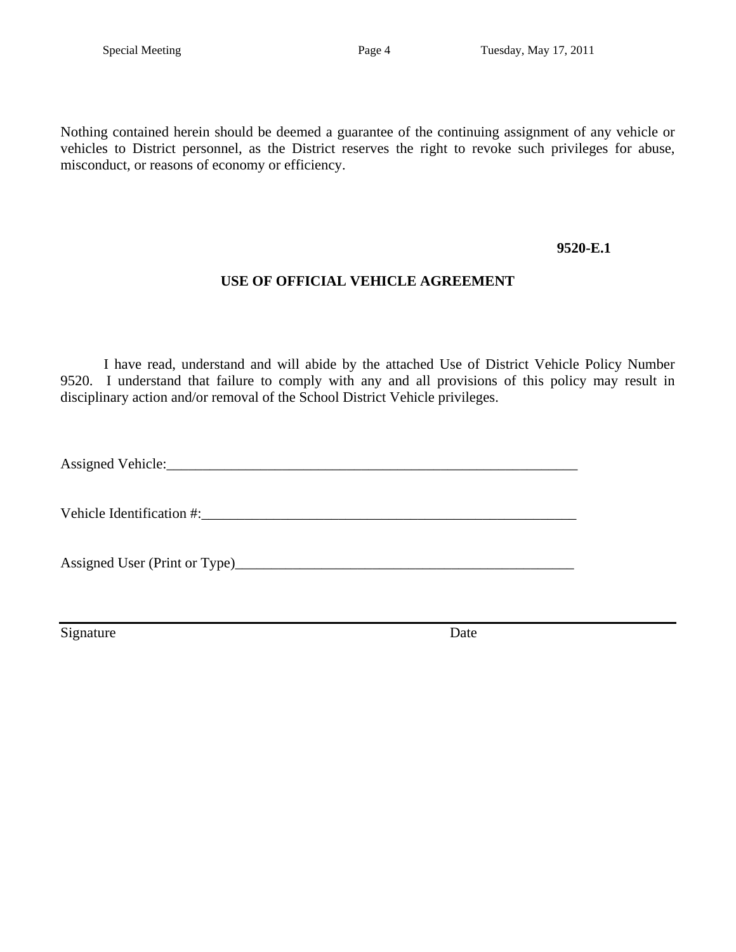Nothing contained herein should be deemed a guarantee of the continuing assignment of any vehicle or vehicles to District personnel, as the District reserves the right to revoke such privileges for abuse, misconduct, or reasons of economy or efficiency.

#### **9520-E.1**

## **USE OF OFFICIAL VEHICLE AGREEMENT**

I have read, understand and will abide by the attached Use of District Vehicle Policy Number 9520. I understand that failure to comply with any and all provisions of this policy may result in disciplinary action and/or removal of the School District Vehicle privileges.

Assigned Vehicle:

Vehicle Identification #:\_\_\_\_\_\_\_\_\_\_\_\_\_\_\_\_\_\_\_\_\_\_\_\_\_\_\_\_\_\_\_\_\_\_\_\_\_\_\_\_\_\_\_\_\_\_\_\_\_\_\_\_

Assigned User (Print or Type)\_\_\_\_\_\_\_\_\_\_\_\_\_\_\_\_\_\_\_\_\_\_\_\_\_\_\_\_\_\_\_\_\_\_\_\_\_\_\_\_\_\_\_\_\_\_\_

Signature Date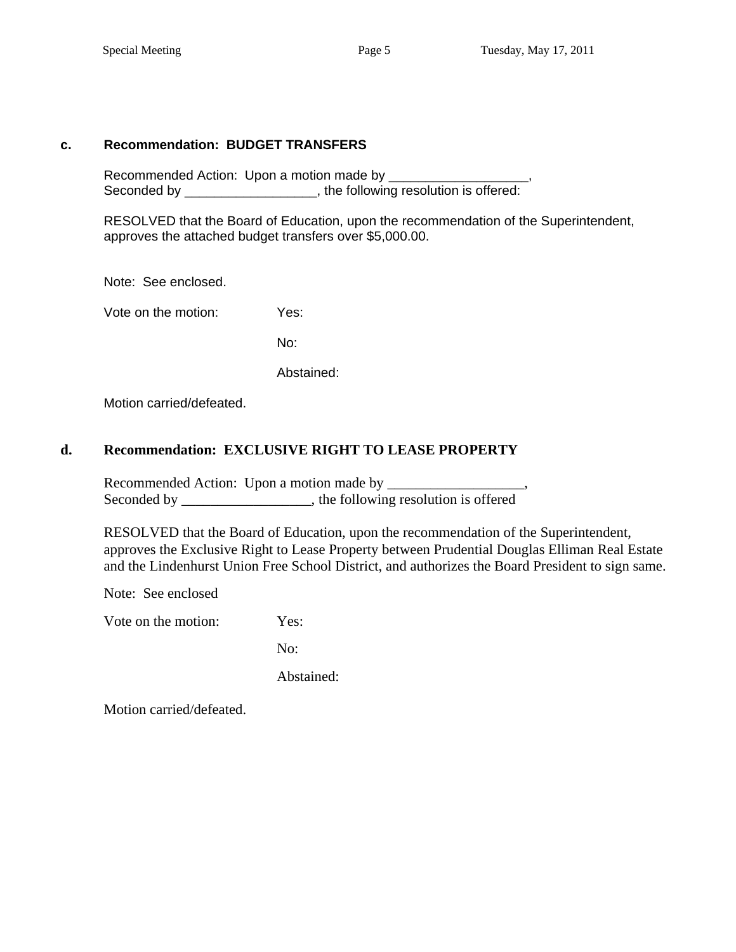#### **c. Recommendation: BUDGET TRANSFERS**

Recommended Action: Upon a motion made by \_\_\_\_\_ Seconded by \_\_\_\_\_\_\_\_\_\_\_\_\_\_\_\_\_, the following resolution is offered:

 RESOLVED that the Board of Education, upon the recommendation of the Superintendent, approves the attached budget transfers over \$5,000.00.

Note: See enclosed.

Vote on the motion: Yes:

No:

Abstained:

Motion carried/defeated.

### **d. Recommendation: EXCLUSIVE RIGHT TO LEASE PROPERTY**

Recommended Action: Upon a motion made by \_\_\_\_\_\_\_\_\_\_\_\_\_\_\_\_\_\_\_, Seconded by \_\_\_\_\_\_\_\_\_\_\_\_\_\_\_, the following resolution is offered

RESOLVED that the Board of Education, upon the recommendation of the Superintendent, approves the Exclusive Right to Lease Property between Prudential Douglas Elliman Real Estate and the Lindenhurst Union Free School District, and authorizes the Board President to sign same.

Note: See enclosed

Vote on the motion: Yes:

No:

Abstained:

Motion carried/defeated.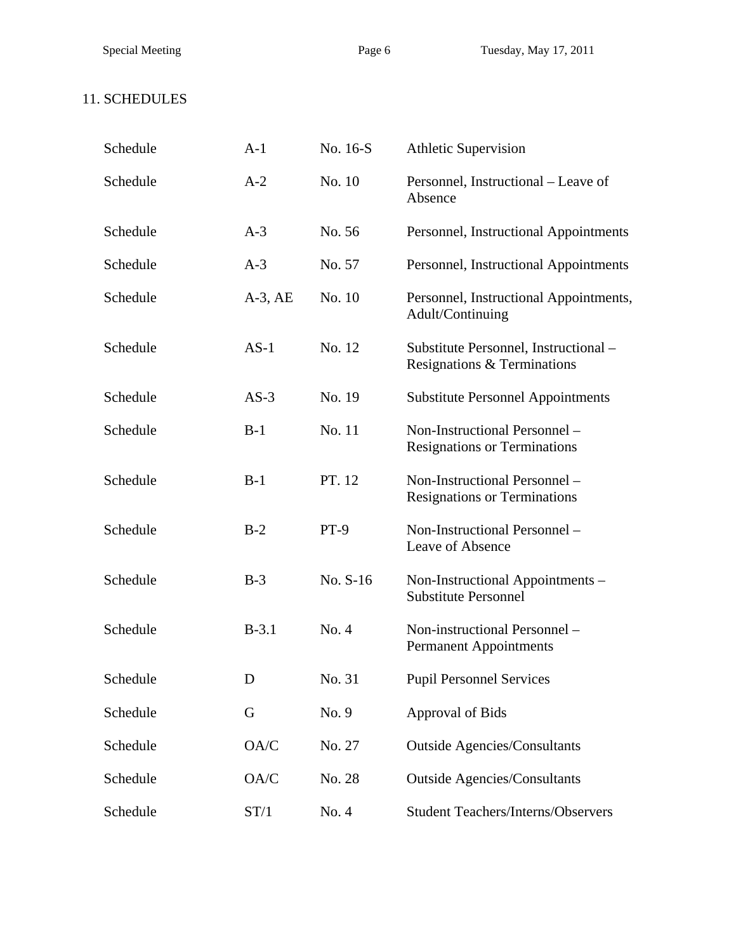# 11. SCHEDULES

| Schedule | $A-1$        | No. 16-S | <b>Athletic Supervision</b>                                          |
|----------|--------------|----------|----------------------------------------------------------------------|
| Schedule | $A-2$        | No. 10   | Personnel, Instructional – Leave of<br>Absence                       |
| Schedule | $A-3$        | No. 56   | Personnel, Instructional Appointments                                |
| Schedule | $A-3$        | No. 57   | Personnel, Instructional Appointments                                |
| Schedule | $A-3$ , $AE$ | No. 10   | Personnel, Instructional Appointments,<br>Adult/Continuing           |
| Schedule | $AS-1$       | No. 12   | Substitute Personnel, Instructional -<br>Resignations & Terminations |
| Schedule | $AS-3$       | No. 19   | <b>Substitute Personnel Appointments</b>                             |
| Schedule | $B-1$        | No. 11   | Non-Instructional Personnel -<br><b>Resignations or Terminations</b> |
| Schedule | $B-1$        | PT. 12   | Non-Instructional Personnel -<br><b>Resignations or Terminations</b> |
| Schedule | $B-2$        | $PT-9$   | Non-Instructional Personnel -<br>Leave of Absence                    |
| Schedule | $B-3$        | No. S-16 | Non-Instructional Appointments -<br><b>Substitute Personnel</b>      |
| Schedule | $B-3.1$      | No. 4    | Non-instructional Personnel -<br><b>Permanent Appointments</b>       |
| Schedule | D            | No. 31   | <b>Pupil Personnel Services</b>                                      |
| Schedule | G            | No. 9    | Approval of Bids                                                     |
| Schedule | OA/C         | No. 27   | <b>Outside Agencies/Consultants</b>                                  |
| Schedule | OA/C         | No. 28   | <b>Outside Agencies/Consultants</b>                                  |
| Schedule | ST/1         | No. 4    | <b>Student Teachers/Interns/Observers</b>                            |